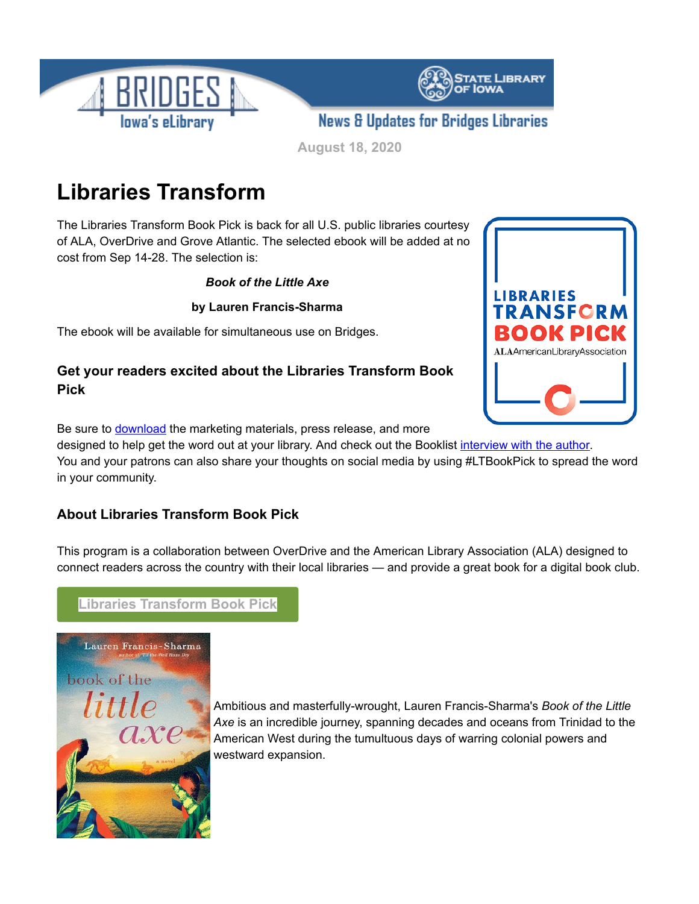

**August 18, 2020**

# **Libraries Transform**

The Libraries Transform Book Pick is back for all U.S. public libraries courtesy of ALA, OverDrive and Grove Atlantic. The selected ebook will be added at no cost from Sep 14-28. The selection is:

*Book of the Little Axe*

**by Lauren Francis-Sharma**

The ebook will be available for simultaneous use on Bridges.

## **Get your readers excited about the Libraries Transform Book Pick**



Be sure to **[download](http://ilovelibraries.org/libraries-transform-book-pick?utm_medium=email&utm_source=govdelivery)** the marketing materials, press release, and more

designed to help get the word out at your library. And check out the Booklist [interview with the author](https://www.booklistonline.com/Libraries-Transform-Book-Pick-An-Interview-with-Lauren-Francis-Sharma-Vanessa-Bush/pid=9738545?AspxAutoDetectCookieSupport=1&utm_medium=email&utm_source=govdelivery). You and your patrons can also share your thoughts on social media by using #LTBookPick to spread the word in your community.

### **About Libraries Transform Book Pick**

This program is a collaboration between OverDrive and the American Library Association (ALA) designed to connect readers across the country with their local libraries — and provide a great book for a digital book club.

# **[Libraries Transform Book Pick](http://ilovelibraries.org/libraries-transform-book-pick?utm_medium=email&utm_source=govdelivery)**



Ambitious and masterfully-wrought, Lauren Francis-Sharma's *Book of the Little Axe* is an incredible journey, spanning decades and oceans from Trinidad to the American West during the tumultuous days of warring colonial powers and westward expansion.